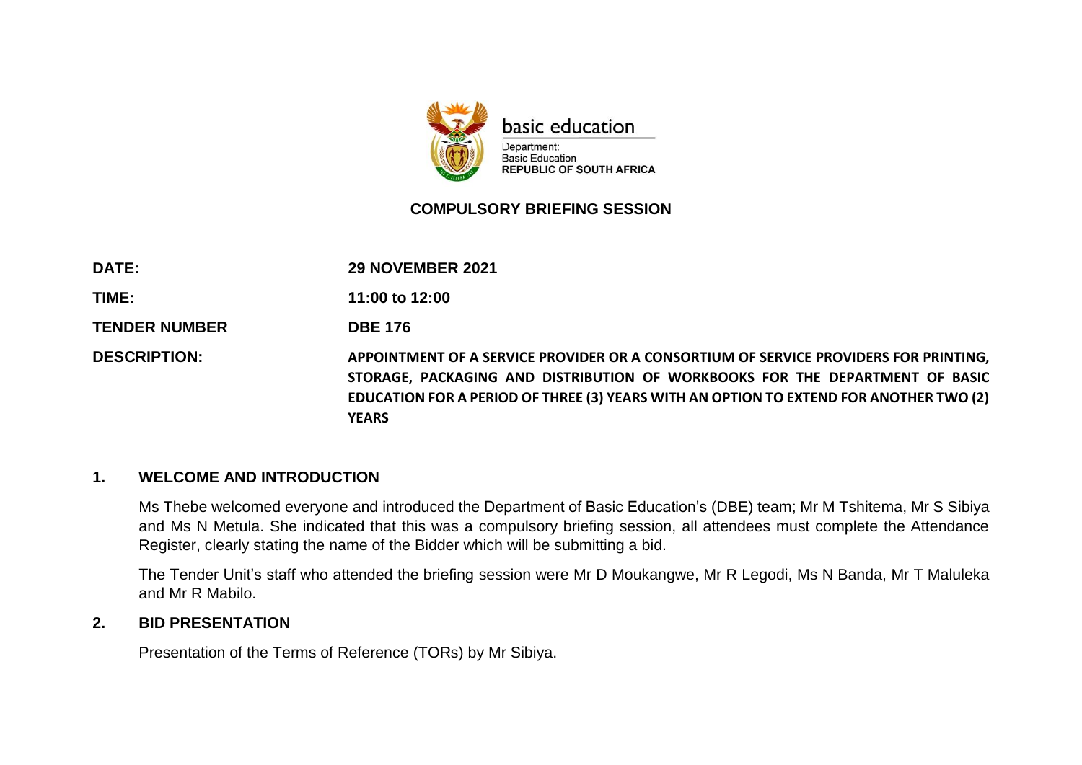

#### **COMPULSORY BRIEFING SESSION**

| <b>DATE:</b>         | <b>29 NOVEMBER 2021</b>                                                                                                                                                                                                                                                        |
|----------------------|--------------------------------------------------------------------------------------------------------------------------------------------------------------------------------------------------------------------------------------------------------------------------------|
| TIME:                | 11:00 to 12:00                                                                                                                                                                                                                                                                 |
| <b>TENDER NUMBER</b> | <b>DBE 176</b>                                                                                                                                                                                                                                                                 |
| <b>DESCRIPTION:</b>  | APPOINTMENT OF A SERVICE PROVIDER OR A CONSORTIUM OF SERVICE PROVIDERS FOR PRINTING,<br>STORAGE, PACKAGING AND DISTRIBUTION OF WORKBOOKS FOR THE DEPARTMENT OF BASIC<br>EDUCATION FOR A PERIOD OF THREE (3) YEARS WITH AN OPTION TO EXTEND FOR ANOTHER TWO (2)<br><b>YEARS</b> |

#### **1. WELCOME AND INTRODUCTION**

Ms Thebe welcomed everyone and introduced the Department of Basic Education's (DBE) team; Mr M Tshitema, Mr S Sibiya and Ms N Metula. She indicated that this was a compulsory briefing session, all attendees must complete the Attendance Register, clearly stating the name of the Bidder which will be submitting a bid.

The Tender Unit's staff who attended the briefing session were Mr D Moukangwe, Mr R Legodi, Ms N Banda, Mr T Maluleka and Mr R Mabilo.

#### **2. BID PRESENTATION**

Presentation of the Terms of Reference (TORs) by Mr Sibiya.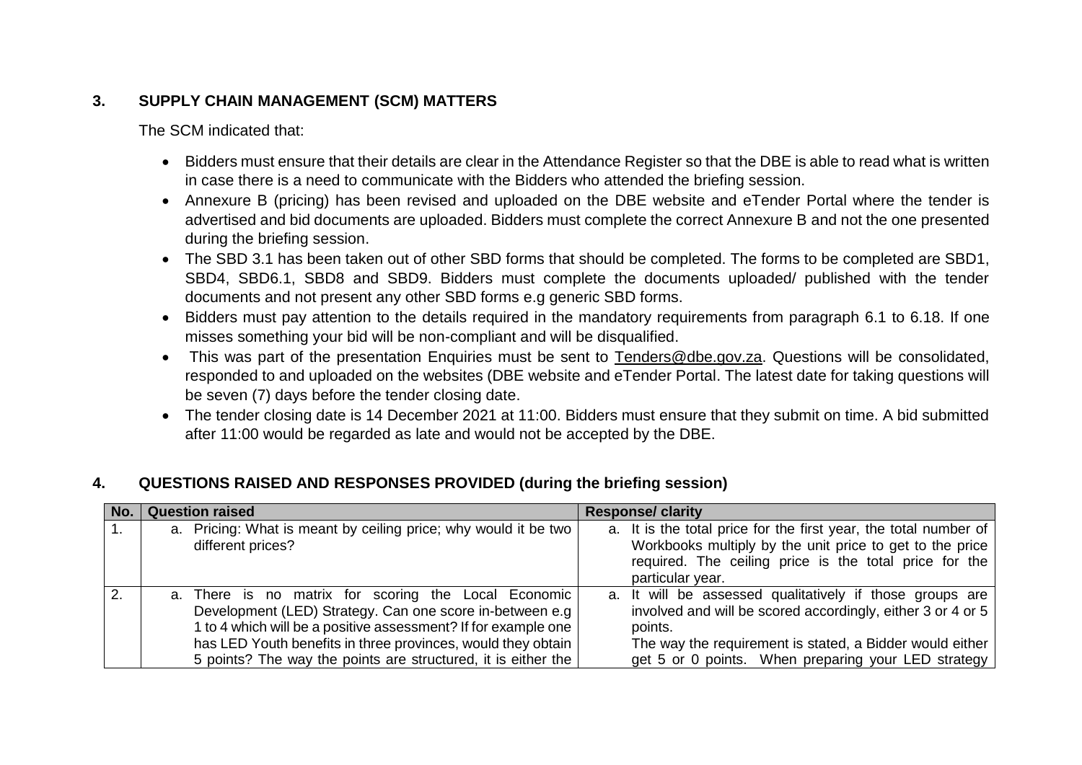# **3. SUPPLY CHAIN MANAGEMENT (SCM) MATTERS**

The SCM indicated that:

- Bidders must ensure that their details are clear in the Attendance Register so that the DBE is able to read what is written in case there is a need to communicate with the Bidders who attended the briefing session.
- Annexure B (pricing) has been revised and uploaded on the DBE website and eTender Portal where the tender is advertised and bid documents are uploaded. Bidders must complete the correct Annexure B and not the one presented during the briefing session.
- The SBD 3.1 has been taken out of other SBD forms that should be completed. The forms to be completed are SBD1, SBD4, SBD6.1, SBD8 and SBD9. Bidders must complete the documents uploaded/ published with the tender documents and not present any other SBD forms e.g generic SBD forms.
- Bidders must pay attention to the details required in the mandatory requirements from paragraph 6.1 to 6.18. If one misses something your bid will be non-compliant and will be disqualified.
- This was part of the presentation Enquiries must be sent to [Tenders@dbe.gov.za.](mailto:Tenders@dbe.gov.za) Questions will be consolidated, responded to and uploaded on the websites (DBE website and eTender Portal. The latest date for taking questions will be seven (7) days before the tender closing date.
- The tender closing date is 14 December 2021 at 11:00. Bidders must ensure that they submit on time. A bid submitted after 11:00 would be regarded as late and would not be accepted by the DBE.

# **4. QUESTIONS RAISED AND RESPONSES PROVIDED (during the briefing session)**

| No. | <b>Question raised</b>                                          | <b>Response/ clarity</b>                                         |
|-----|-----------------------------------------------------------------|------------------------------------------------------------------|
|     | a. Pricing: What is meant by ceiling price; why would it be two | a. It is the total price for the first year, the total number of |
|     | different prices?                                               | Workbooks multiply by the unit price to get to the price         |
|     |                                                                 | required. The ceiling price is the total price for the           |
|     |                                                                 | particular year.                                                 |
|     | a. There is no matrix for scoring the Local Economic            | a. It will be assessed qualitatively if those groups are         |
|     | Development (LED) Strategy. Can one score in-between e.g        | involved and will be scored accordingly, either 3 or 4 or 5      |
|     | 1 to 4 which will be a positive assessment? If for example one  | points.                                                          |
|     | has LED Youth benefits in three provinces, would they obtain    | The way the requirement is stated, a Bidder would either         |
|     | 5 points? The way the points are structured, it is either the   | get 5 or 0 points. When preparing your LED strategy              |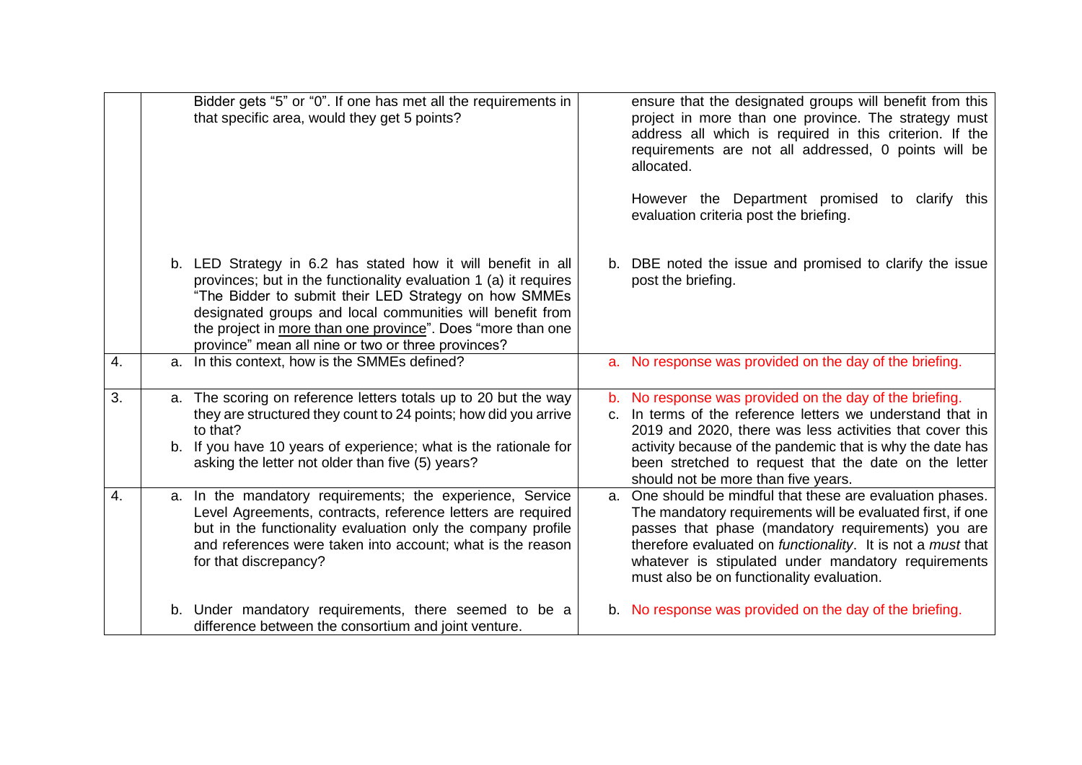|    | Bidder gets "5" or "0". If one has met all the requirements in<br>that specific area, would they get 5 points?                                                                                                                                                                                                                                                              | ensure that the designated groups will benefit from this<br>project in more than one province. The strategy must<br>address all which is required in this criterion. If the<br>requirements are not all addressed, 0 points will be<br>allocated.<br>However the Department promised to clarify this<br>evaluation criteria post the briefing.                   |
|----|-----------------------------------------------------------------------------------------------------------------------------------------------------------------------------------------------------------------------------------------------------------------------------------------------------------------------------------------------------------------------------|------------------------------------------------------------------------------------------------------------------------------------------------------------------------------------------------------------------------------------------------------------------------------------------------------------------------------------------------------------------|
|    | b. LED Strategy in 6.2 has stated how it will benefit in all<br>provinces; but in the functionality evaluation 1 (a) it requires<br>"The Bidder to submit their LED Strategy on how SMMEs<br>designated groups and local communities will benefit from<br>the project in more than one province". Does "more than one<br>province" mean all nine or two or three provinces? | b. DBE noted the issue and promised to clarify the issue<br>post the briefing.                                                                                                                                                                                                                                                                                   |
| 4. | In this context, how is the SMMEs defined?<br>a.                                                                                                                                                                                                                                                                                                                            | a. No response was provided on the day of the briefing.                                                                                                                                                                                                                                                                                                          |
| 3. | a. The scoring on reference letters totals up to 20 but the way<br>they are structured they count to 24 points; how did you arrive<br>to that?<br>b. If you have 10 years of experience; what is the rationale for<br>asking the letter not older than five (5) years?                                                                                                      | b. No response was provided on the day of the briefing.<br>In terms of the reference letters we understand that in<br>C.<br>2019 and 2020, there was less activities that cover this<br>activity because of the pandemic that is why the date has<br>been stretched to request that the date on the letter<br>should not be more than five years.                |
| 4. | a. In the mandatory requirements; the experience, Service<br>Level Agreements, contracts, reference letters are required<br>but in the functionality evaluation only the company profile<br>and references were taken into account; what is the reason<br>for that discrepancy?                                                                                             | a. One should be mindful that these are evaluation phases.<br>The mandatory requirements will be evaluated first, if one<br>passes that phase (mandatory requirements) you are<br>therefore evaluated on <i>functionality</i> . It is not a <i>must</i> that<br>whatever is stipulated under mandatory requirements<br>must also be on functionality evaluation. |
|    | b. Under mandatory requirements, there seemed to be a<br>difference between the consortium and joint venture.                                                                                                                                                                                                                                                               | b. No response was provided on the day of the briefing.                                                                                                                                                                                                                                                                                                          |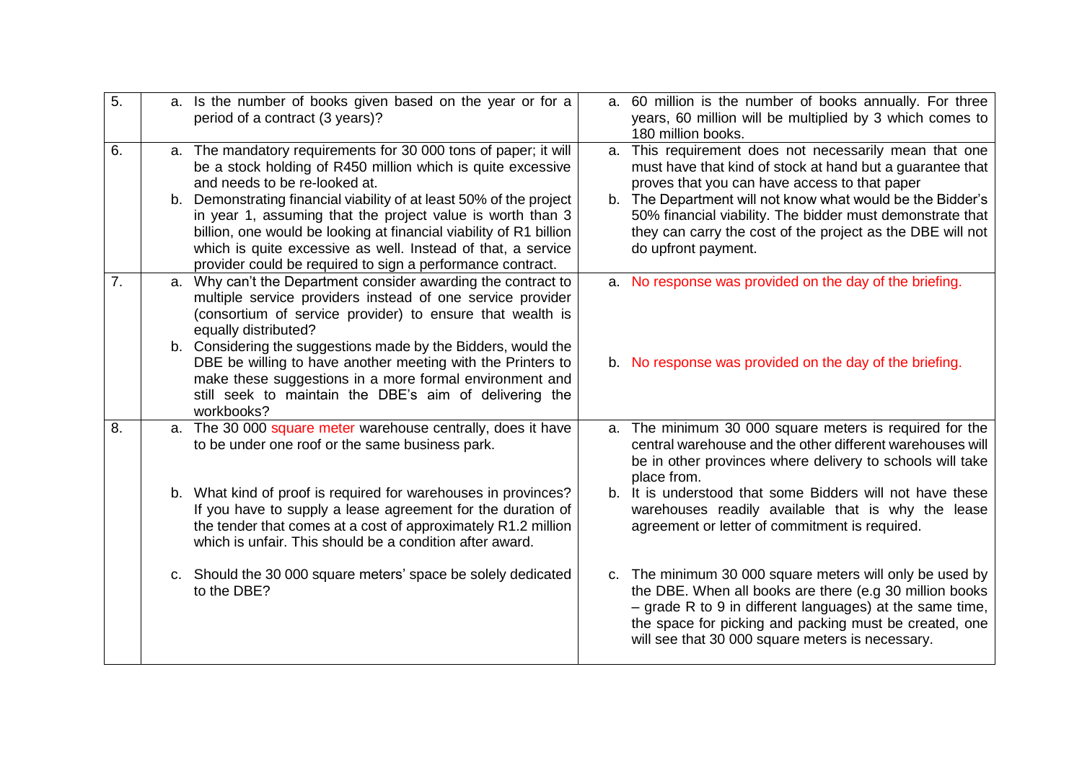| $\overline{5}$ . | a. Is the number of books given based on the year or for a<br>period of a contract (3 years)?                                                                                                                                                                   | a. 60 million is the number of books annually. For three<br>years, 60 million will be multiplied by 3 which comes to<br>180 million books.                                                                                                                                                      |
|------------------|-----------------------------------------------------------------------------------------------------------------------------------------------------------------------------------------------------------------------------------------------------------------|-------------------------------------------------------------------------------------------------------------------------------------------------------------------------------------------------------------------------------------------------------------------------------------------------|
| 6.               | a. The mandatory requirements for 30 000 tons of paper; it will<br>be a stock holding of R450 million which is quite excessive<br>and needs to be re-looked at.<br>b. Demonstrating financial viability of at least 50% of the project                          | a. This requirement does not necessarily mean that one<br>must have that kind of stock at hand but a guarantee that<br>proves that you can have access to that paper<br>b. The Department will not know what would be the Bidder's                                                              |
|                  | in year 1, assuming that the project value is worth than 3<br>billion, one would be looking at financial viability of R1 billion<br>which is quite excessive as well. Instead of that, a service<br>provider could be required to sign a performance contract.  | 50% financial viability. The bidder must demonstrate that<br>they can carry the cost of the project as the DBE will not<br>do upfront payment.                                                                                                                                                  |
| 7.               | a. Why can't the Department consider awarding the contract to<br>multiple service providers instead of one service provider<br>(consortium of service provider) to ensure that wealth is<br>equally distributed?                                                | a. No response was provided on the day of the briefing.                                                                                                                                                                                                                                         |
|                  | b. Considering the suggestions made by the Bidders, would the<br>DBE be willing to have another meeting with the Printers to<br>make these suggestions in a more formal environment and<br>still seek to maintain the DBE's aim of delivering the<br>workbooks? | b. No response was provided on the day of the briefing.                                                                                                                                                                                                                                         |
| 8.               | a. The 30 000 square meter warehouse centrally, does it have<br>to be under one roof or the same business park.                                                                                                                                                 | a. The minimum 30 000 square meters is required for the<br>central warehouse and the other different warehouses will<br>be in other provinces where delivery to schools will take<br>place from.                                                                                                |
|                  | b. What kind of proof is required for warehouses in provinces?<br>If you have to supply a lease agreement for the duration of<br>the tender that comes at a cost of approximately R1.2 million<br>which is unfair. This should be a condition after award.      | b. It is understood that some Bidders will not have these<br>warehouses readily available that is why the lease<br>agreement or letter of commitment is required.                                                                                                                               |
|                  | c. Should the 30 000 square meters' space be solely dedicated<br>to the DBE?                                                                                                                                                                                    | c. The minimum 30 000 square meters will only be used by<br>the DBE. When all books are there (e.g 30 million books<br>$-$ grade R to 9 in different languages) at the same time,<br>the space for picking and packing must be created, one<br>will see that 30 000 square meters is necessary. |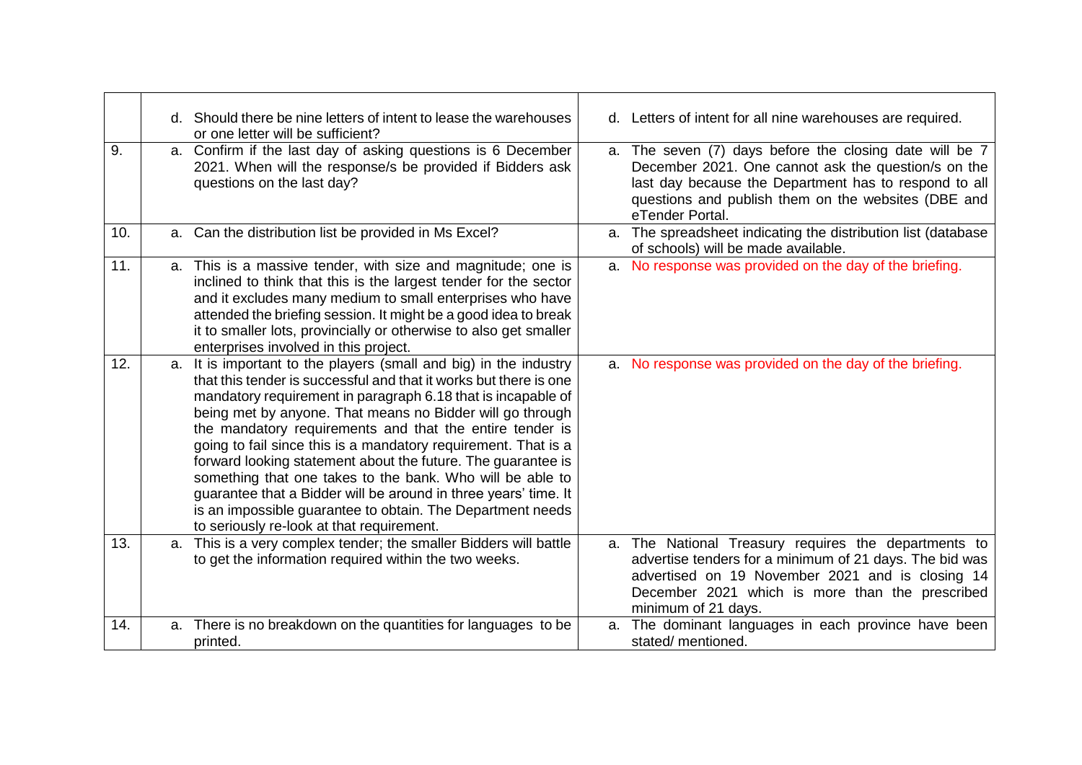|     | d. Should there be nine letters of intent to lease the warehouses<br>or one letter will be sufficient?                                                                                                                                                                                                                                                                                                                                                                                                                                                                                                                                                                                                          | d. Letters of intent for all nine warehouses are required.                                                                                                                                                                                        |
|-----|-----------------------------------------------------------------------------------------------------------------------------------------------------------------------------------------------------------------------------------------------------------------------------------------------------------------------------------------------------------------------------------------------------------------------------------------------------------------------------------------------------------------------------------------------------------------------------------------------------------------------------------------------------------------------------------------------------------------|---------------------------------------------------------------------------------------------------------------------------------------------------------------------------------------------------------------------------------------------------|
| 9.  | a. Confirm if the last day of asking questions is 6 December<br>2021. When will the response/s be provided if Bidders ask<br>questions on the last day?                                                                                                                                                                                                                                                                                                                                                                                                                                                                                                                                                         | a. The seven (7) days before the closing date will be 7<br>December 2021. One cannot ask the question/s on the<br>last day because the Department has to respond to all<br>questions and publish them on the websites (DBE and<br>eTender Portal. |
| 10. | a. Can the distribution list be provided in Ms Excel?                                                                                                                                                                                                                                                                                                                                                                                                                                                                                                                                                                                                                                                           | a. The spreadsheet indicating the distribution list (database<br>of schools) will be made available.                                                                                                                                              |
| 11. | This is a massive tender, with size and magnitude; one is<br>a.<br>inclined to think that this is the largest tender for the sector<br>and it excludes many medium to small enterprises who have<br>attended the briefing session. It might be a good idea to break<br>it to smaller lots, provincially or otherwise to also get smaller<br>enterprises involved in this project.                                                                                                                                                                                                                                                                                                                               | a. No response was provided on the day of the briefing.                                                                                                                                                                                           |
| 12. | It is important to the players (small and big) in the industry<br>a.<br>that this tender is successful and that it works but there is one<br>mandatory requirement in paragraph 6.18 that is incapable of<br>being met by anyone. That means no Bidder will go through<br>the mandatory requirements and that the entire tender is<br>going to fail since this is a mandatory requirement. That is a<br>forward looking statement about the future. The guarantee is<br>something that one takes to the bank. Who will be able to<br>guarantee that a Bidder will be around in three years' time. It<br>is an impossible guarantee to obtain. The Department needs<br>to seriously re-look at that requirement. | a. No response was provided on the day of the briefing.                                                                                                                                                                                           |
| 13. | This is a very complex tender; the smaller Bidders will battle<br>a.<br>to get the information required within the two weeks.                                                                                                                                                                                                                                                                                                                                                                                                                                                                                                                                                                                   | a. The National Treasury requires the departments to<br>advertise tenders for a minimum of 21 days. The bid was<br>advertised on 19 November 2021 and is closing 14<br>December 2021 which is more than the prescribed<br>minimum of 21 days.     |
| 14. | There is no breakdown on the quantities for languages to be<br>a.<br>printed.                                                                                                                                                                                                                                                                                                                                                                                                                                                                                                                                                                                                                                   | a. The dominant languages in each province have been<br>stated/ mentioned.                                                                                                                                                                        |